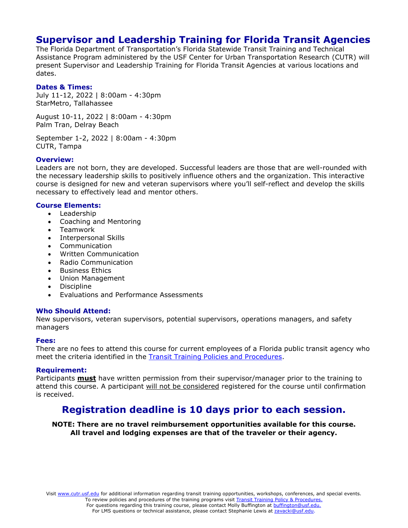# **Supervisor and Leadership Training for Florida Transit Agencies**

The Florida Department of Transportation's Florida Statewide Transit Training and Technical Assistance Program administered by the USF Center for Urban Transportation Research (CUTR) will present Supervisor and Leadership Training for Florida Transit Agencies at various locations and dates.

### **Dates & Times:**

July 11-12, 2022 | 8:00am - 4:30pm StarMetro, Tallahassee

August 10-11, 2022 | 8:00am - 4:30pm Palm Tran, Delray Beach

September 1-2, 2022 | 8:00am - 4:30pm CUTR, Tampa

### **Overview:**

Leaders are not born, they are developed. Successful leaders are those that are well-rounded with the necessary leadership skills to positively influence others and the organization. This interactive course is designed for new and veteran supervisors where you'll self-reflect and develop the skills necessary to effectively lead and mentor others.

### **Course Elements:**

- Leadership
- Coaching and Mentoring
- Teamwork
- Interpersonal Skills
- **Communication**
- Written Communication
- Radio Communication
- Business Ethics
- Union Management
- Discipline
- Evaluations and Performance Assessments

#### **Who Should Attend:**

New supervisors, veteran supervisors, potential supervisors, operations managers, and safety managers

#### **Fees:**

There are no fees to attend this course for current employees of a Florida public transit agency who meet the criteria identified in the Transit Training Policies and [Procedures.](https://www.floridartap.org/wp-content/uploads/2019/06/TTATPoliciesFinal.pdf)

#### **Requirement:**

Participants **must** have written permission from their supervisor/manager prior to the training to attend this course. A participant will not be considered registered for the course until confirmation is received.

## **Registration deadline is 10 days prior to each session.**

**NOTE: There are no travel reimbursement opportunities available for this course. All travel and lodging expenses are that of the traveler or their agency.**